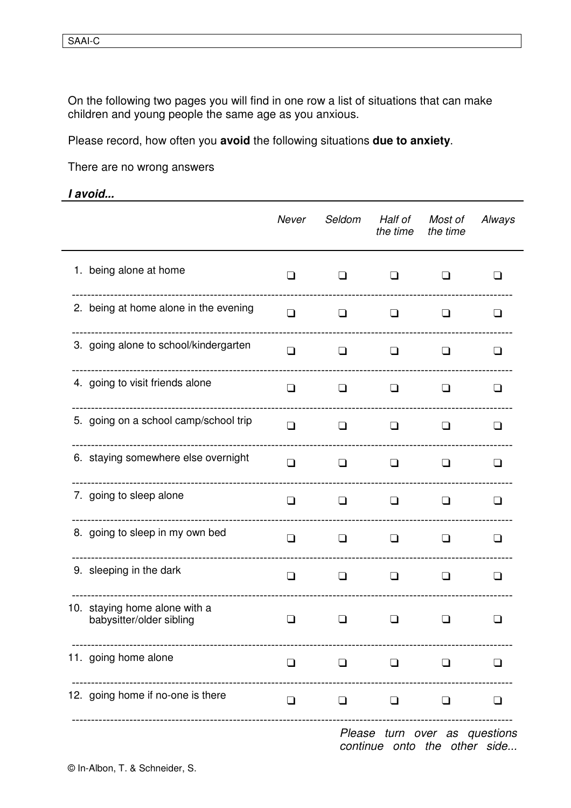On the following two pages you will find in one row a list of situations that can make children and young people the same age as you anxious.

Please record, how often you avoid the following situations due to anxiety.

There are no wrong answers

## I avoid...

|                                                           | Never          | Seldom | Half of<br>the time | Most of<br>the time | Always         |
|-----------------------------------------------------------|----------------|--------|---------------------|---------------------|----------------|
| 1. being alone at home                                    | ΓI             | H      | l 1                 |                     |                |
| 2. being at home alone in the evening                     | ❏              | ❏      | ❏                   | ப                   | ப              |
| 3. going alone to school/kindergarten                     | l 1            | ப      | ப                   | l 1                 | LΙ             |
| 4. going to visit friends alone                           | $\Box$         | ப      | ❏                   | $\blacksquare$      | l 1            |
| 5. going on a school camp/school trip                     | $\Box$         | ❏      | $\Box$              | ப                   | $\blacksquare$ |
| 6. staying somewhere else overnight                       | ❏              | $\Box$ | ❏                   | ப                   | l 1            |
| 7. going to sleep alone                                   | ப              | ப      | $\perp$             | I                   | H              |
| 8. going to sleep in my own bed                           | $\Box$         | $\Box$ | ⊔                   | ப                   | l 1            |
| 9. sleeping in the dark                                   | $\Box$         | ❏      | ❏                   | ப                   | l 1            |
| 10. staying home alone with a<br>babysitter/older sibling | $\blacksquare$ |        | l 1                 |                     | - 1            |
| 11. going home alone                                      | $\Box$         | $\Box$ | $\Box$              | $\Box$              | ⊔              |
| 12. going home if no-one is there                         | $\Box$         | $\Box$ | $\Box$              | ❏                   | ப              |
|                                                           |                |        |                     |                     |                |

Please turn over as questions continue onto the other side...